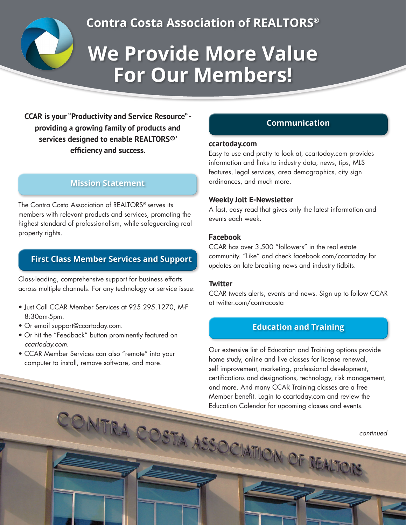

**Contra Costa Association of REALTORS®**

# **We Provide More Value For Our Members!**

**CCAR is your "Productivity and Service Resource" providing a growing family of products and services designed to enable REALTORS®' efficiency and success.** 

# **Mission Statement**

The Contra Costa Association of REALTORS® serves its members with relevant products and services, promoting the highest standard of professionalism, while safeguarding real property rights.

# **First Class Member Services and Support**

Class-leading, comprehensive support for business efforts across multiple channels. For any technology or service issue:

- Just Call CCAR Member Services at 925.295.1270, M-F 8:30am-5pm.
- Or email support@ccartoday.com.
- Or hit the "Feedback" button prominently featured on *ccartoday.com*.
- CCAR Member Services can also "remote" into your computer to install, remove software, and more.

# **Communication**

#### **ccartoday.com**

Easy to use and pretty to look at, ccartoday.com provides information and links to industry data, news, tips, MLS features, legal services, area demographics, city sign ordinances, and much more.

## **Weekly Jolt E-Newsletter**

A fast, easy read that gives only the latest information and events each week.

## **Facebook**

CCAR has over 3,500 "followers" in the real estate community. "Like" and check facebook.com/ccartoday for updates on late breaking news and industry tidbits.

#### **Twitter**

COSTA ASSOCIAT

CCAR tweets alerts, events and news. Sign up to follow CCAR at twitter.com/contracosta

# **Education and Training**

Our extensive list of Education and Training options provide home study, online and live classes for license renewal, self improvement, marketing, professional development, certifications and designations, technology, risk management, and more. And many CCAR Training classes are a free Member benefit. Login to ccartoday.com and review the Education Calendar for upcoming classes and events.

*continued*